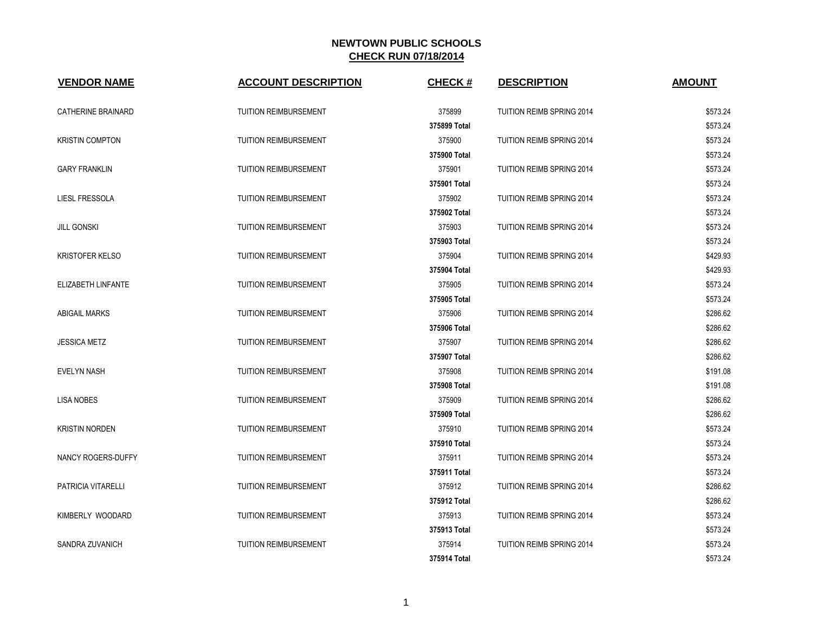| <b>VENDOR NAME</b>        | <b>ACCOUNT DESCRIPTION</b>   | <b>CHECK#</b> | <b>DESCRIPTION</b>               | <b>AMOUNT</b> |
|---------------------------|------------------------------|---------------|----------------------------------|---------------|
| <b>CATHERINE BRAINARD</b> | <b>TUITION REIMBURSEMENT</b> | 375899        | TUITION REIMB SPRING 2014        | \$573.24      |
|                           |                              | 375899 Total  |                                  | \$573.24      |
| <b>KRISTIN COMPTON</b>    | <b>TUITION REIMBURSEMENT</b> | 375900        | TUITION REIMB SPRING 2014        | \$573.24      |
|                           |                              | 375900 Total  |                                  | \$573.24      |
| <b>GARY FRANKLIN</b>      | <b>TUITION REIMBURSEMENT</b> | 375901        | TUITION REIMB SPRING 2014        | \$573.24      |
|                           |                              | 375901 Total  |                                  | \$573.24      |
| LIESL FRESSOLA            | <b>TUITION REIMBURSEMENT</b> | 375902        | TUITION REIMB SPRING 2014        | \$573.24      |
|                           |                              | 375902 Total  |                                  | \$573.24      |
| <b>JILL GONSKI</b>        | <b>TUITION REIMBURSEMENT</b> | 375903        | TUITION REIMB SPRING 2014        | \$573.24      |
|                           |                              | 375903 Total  |                                  | \$573.24      |
| <b>KRISTOFER KELSO</b>    | <b>TUITION REIMBURSEMENT</b> | 375904        | <b>TUITION REIMB SPRING 2014</b> | \$429.93      |
|                           |                              | 375904 Total  |                                  | \$429.93      |
| ELIZABETH LINFANTE        | <b>TUITION REIMBURSEMENT</b> | 375905        | TUITION REIMB SPRING 2014        | \$573.24      |
|                           |                              | 375905 Total  |                                  | \$573.24      |
| <b>ABIGAIL MARKS</b>      | TUITION REIMBURSEMENT        | 375906        | TUITION REIMB SPRING 2014        | \$286.62      |
|                           |                              | 375906 Total  |                                  | \$286.62      |
| <b>JESSICA METZ</b>       | <b>TUITION REIMBURSEMENT</b> | 375907        | TUITION REIMB SPRING 2014        | \$286.62      |
|                           |                              | 375907 Total  |                                  | \$286.62      |
| <b>EVELYN NASH</b>        | <b>TUITION REIMBURSEMENT</b> | 375908        | <b>TUITION REIMB SPRING 2014</b> | \$191.08      |
|                           |                              | 375908 Total  |                                  | \$191.08      |
| <b>LISA NOBES</b>         | TUITION REIMBURSEMENT        | 375909        | TUITION REIMB SPRING 2014        | \$286.62      |
|                           |                              | 375909 Total  |                                  | \$286.62      |
| <b>KRISTIN NORDEN</b>     | TUITION REIMBURSEMENT        | 375910        | TUITION REIMB SPRING 2014        | \$573.24      |
|                           |                              | 375910 Total  |                                  | \$573.24      |
| NANCY ROGERS-DUFFY        | <b>TUITION REIMBURSEMENT</b> | 375911        | TUITION REIMB SPRING 2014        | \$573.24      |
|                           |                              | 375911 Total  |                                  | \$573.24      |
| PATRICIA VITARELLI        | <b>TUITION REIMBURSEMENT</b> | 375912        | TUITION REIMB SPRING 2014        | \$286.62      |
|                           |                              | 375912 Total  |                                  | \$286.62      |
| KIMBERLY WOODARD          | <b>TUITION REIMBURSEMENT</b> | 375913        | <b>TUITION REIMB SPRING 2014</b> | \$573.24      |
|                           |                              | 375913 Total  |                                  | \$573.24      |
| SANDRA ZUVANICH           | <b>TUITION REIMBURSEMENT</b> | 375914        | <b>TUITION REIMB SPRING 2014</b> | \$573.24      |
|                           |                              | 375914 Total  |                                  | \$573.24      |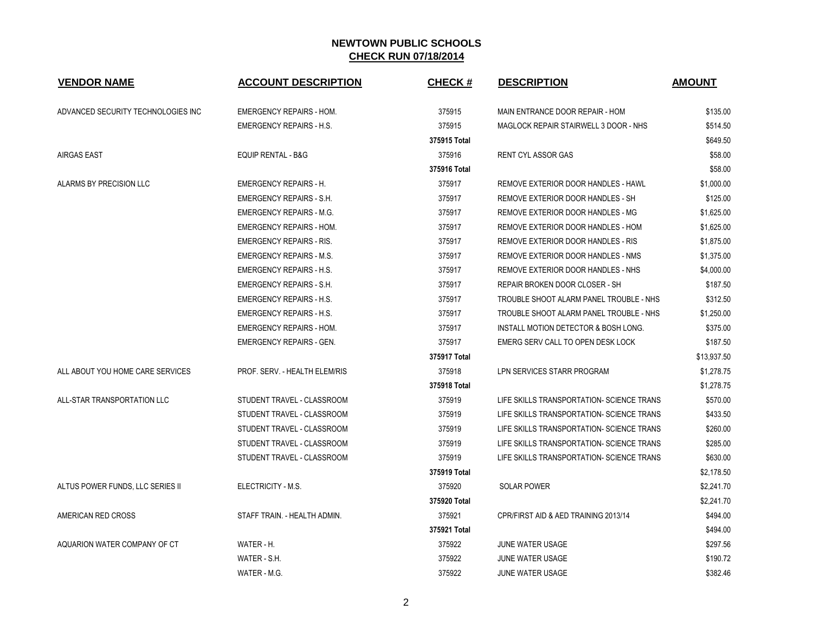| <b>VENDOR NAME</b>                 | <b>ACCOUNT DESCRIPTION</b>      | <b>CHECK#</b> | <b>DESCRIPTION</b>                        | <b>AMOUNT</b> |
|------------------------------------|---------------------------------|---------------|-------------------------------------------|---------------|
| ADVANCED SECURITY TECHNOLOGIES INC | <b>EMERGENCY REPAIRS - HOM.</b> | 375915        | MAIN ENTRANCE DOOR REPAIR - HOM           | \$135.00      |
|                                    | <b>EMERGENCY REPAIRS - H.S.</b> | 375915        | MAGLOCK REPAIR STAIRWELL 3 DOOR - NHS     | \$514.50      |
|                                    |                                 | 375915 Total  |                                           | \$649.50      |
| <b>AIRGAS EAST</b>                 | <b>EQUIP RENTAL - B&amp;G</b>   | 375916        | <b>RENT CYL ASSOR GAS</b>                 | \$58.00       |
|                                    |                                 | 375916 Total  |                                           | \$58.00       |
| ALARMS BY PRECISION LLC            | <b>EMERGENCY REPAIRS - H.</b>   | 375917        | REMOVE EXTERIOR DOOR HANDLES - HAWL       | \$1,000.00    |
|                                    | EMERGENCY REPAIRS - S.H.        | 375917        | REMOVE EXTERIOR DOOR HANDLES - SH         | \$125.00      |
|                                    | <b>EMERGENCY REPAIRS - M.G.</b> | 375917        | REMOVE EXTERIOR DOOR HANDLES - MG         | \$1,625.00    |
|                                    | <b>EMERGENCY REPAIRS - HOM.</b> | 375917        | REMOVE EXTERIOR DOOR HANDLES - HOM        | \$1,625.00    |
|                                    | <b>EMERGENCY REPAIRS - RIS.</b> | 375917        | REMOVE EXTERIOR DOOR HANDLES - RIS        | \$1,875.00    |
|                                    | <b>EMERGENCY REPAIRS - M.S.</b> | 375917        | REMOVE EXTERIOR DOOR HANDLES - NMS        | \$1,375.00    |
|                                    | <b>EMERGENCY REPAIRS - H.S.</b> | 375917        | REMOVE EXTERIOR DOOR HANDLES - NHS        | \$4,000.00    |
|                                    | <b>EMERGENCY REPAIRS - S.H.</b> | 375917        | REPAIR BROKEN DOOR CLOSER - SH            | \$187.50      |
|                                    | <b>EMERGENCY REPAIRS - H.S.</b> | 375917        | TROUBLE SHOOT ALARM PANEL TROUBLE - NHS   | \$312.50      |
|                                    | <b>EMERGENCY REPAIRS - H.S.</b> | 375917        | TROUBLE SHOOT ALARM PANEL TROUBLE - NHS   | \$1,250.00    |
|                                    | <b>EMERGENCY REPAIRS - HOM.</b> | 375917        | INSTALL MOTION DETECTOR & BOSH LONG.      | \$375.00      |
|                                    | <b>EMERGENCY REPAIRS - GEN.</b> | 375917        | EMERG SERV CALL TO OPEN DESK LOCK         | \$187.50      |
|                                    |                                 | 375917 Total  |                                           | \$13,937.50   |
| ALL ABOUT YOU HOME CARE SERVICES   | PROF. SERV. - HEALTH ELEM/RIS   | 375918        | LPN SERVICES STARR PROGRAM                | \$1,278.75    |
|                                    |                                 | 375918 Total  |                                           | \$1,278.75    |
| ALL-STAR TRANSPORTATION LLC        | STUDENT TRAVEL - CLASSROOM      | 375919        | LIFE SKILLS TRANSPORTATION- SCIENCE TRANS | \$570.00      |
|                                    | STUDENT TRAVEL - CLASSROOM      | 375919        | LIFE SKILLS TRANSPORTATION- SCIENCE TRANS | \$433.50      |
|                                    | STUDENT TRAVEL - CLASSROOM      | 375919        | LIFE SKILLS TRANSPORTATION- SCIENCE TRANS | \$260.00      |
|                                    | STUDENT TRAVEL - CLASSROOM      | 375919        | LIFE SKILLS TRANSPORTATION- SCIENCE TRANS | \$285.00      |
|                                    | STUDENT TRAVEL - CLASSROOM      | 375919        | LIFE SKILLS TRANSPORTATION- SCIENCE TRANS | \$630.00      |
|                                    |                                 | 375919 Total  |                                           | \$2,178.50    |
| ALTUS POWER FUNDS, LLC SERIES II   | ELECTRICITY - M.S.              | 375920        | <b>SOLAR POWER</b>                        | \$2,241.70    |
|                                    |                                 | 375920 Total  |                                           | \$2,241.70    |
| AMERICAN RED CROSS                 | STAFF TRAIN. - HEALTH ADMIN.    | 375921        | CPR/FIRST AID & AED TRAINING 2013/14      | \$494.00      |
|                                    |                                 | 375921 Total  |                                           | \$494.00      |
| AQUARION WATER COMPANY OF CT       | WATER - H.                      | 375922        | JUNE WATER USAGE                          | \$297.56      |
|                                    | WATER - S.H.                    | 375922        | JUNE WATER USAGE                          | \$190.72      |
|                                    | WATER - M.G.                    | 375922        | JUNE WATER USAGE                          | \$382.46      |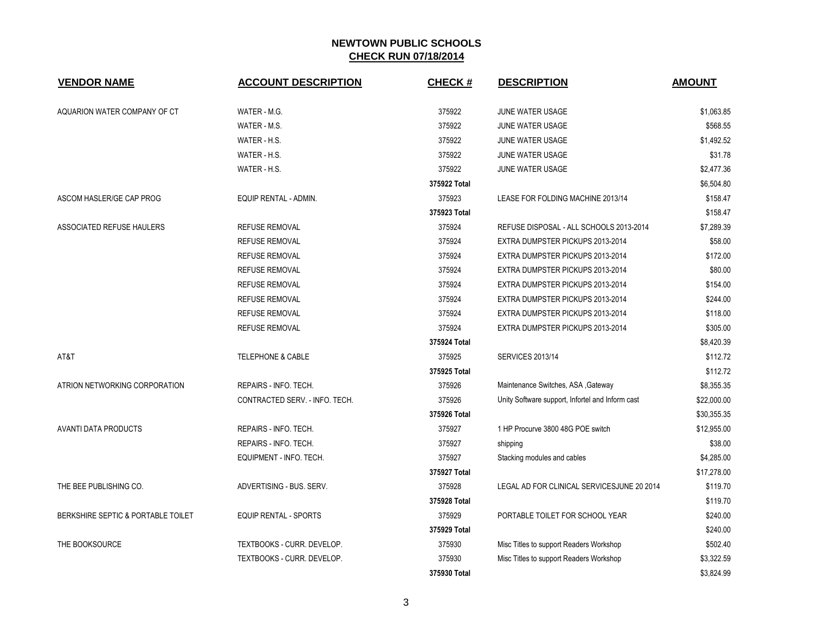| <b>VENDOR NAME</b>                 | <b>ACCOUNT DESCRIPTION</b>     | <b>CHECK#</b> | <b>DESCRIPTION</b>                               | <b>AMOUNT</b> |
|------------------------------------|--------------------------------|---------------|--------------------------------------------------|---------------|
| AQUARION WATER COMPANY OF CT       | WATER - M.G.                   | 375922        | JUNE WATER USAGE                                 | \$1,063.85    |
|                                    | WATER - M.S.                   | 375922        | JUNE WATER USAGE                                 | \$568.55      |
|                                    | WATER - H.S.                   | 375922        | JUNE WATER USAGE                                 | \$1,492.52    |
|                                    | WATER - H.S.                   | 375922        | JUNE WATER USAGE                                 | \$31.78       |
|                                    | WATER - H.S.                   | 375922        | JUNE WATER USAGE                                 | \$2,477.36    |
|                                    |                                | 375922 Total  |                                                  | \$6,504.80    |
| ASCOM HASLER/GE CAP PROG           | EQUIP RENTAL - ADMIN.          | 375923        | LEASE FOR FOLDING MACHINE 2013/14                | \$158.47      |
|                                    |                                | 375923 Total  |                                                  | \$158.47      |
| ASSOCIATED REFUSE HAULERS          | <b>REFUSE REMOVAL</b>          | 375924        | REFUSE DISPOSAL - ALL SCHOOLS 2013-2014          | \$7,289.39    |
|                                    | <b>REFUSE REMOVAL</b>          | 375924        | EXTRA DUMPSTER PICKUPS 2013-2014                 | \$58.00       |
|                                    | <b>REFUSE REMOVAL</b>          | 375924        | EXTRA DUMPSTER PICKUPS 2013-2014                 | \$172.00      |
|                                    | <b>REFUSE REMOVAL</b>          | 375924        | EXTRA DUMPSTER PICKUPS 2013-2014                 | \$80.00       |
|                                    | <b>REFUSE REMOVAL</b>          | 375924        | EXTRA DUMPSTER PICKUPS 2013-2014                 | \$154.00      |
|                                    | <b>REFUSE REMOVAL</b>          | 375924        | EXTRA DUMPSTER PICKUPS 2013-2014                 | \$244.00      |
|                                    | <b>REFUSE REMOVAL</b>          | 375924        | EXTRA DUMPSTER PICKUPS 2013-2014                 | \$118.00      |
|                                    | <b>REFUSE REMOVAL</b>          | 375924        | EXTRA DUMPSTER PICKUPS 2013-2014                 | \$305.00      |
|                                    |                                | 375924 Total  |                                                  | \$8,420.39    |
| AT&T                               | <b>TELEPHONE &amp; CABLE</b>   | 375925        | <b>SERVICES 2013/14</b>                          | \$112.72      |
|                                    |                                | 375925 Total  |                                                  | \$112.72      |
| ATRION NETWORKING CORPORATION      | REPAIRS - INFO. TECH.          | 375926        | Maintenance Switches, ASA , Gateway              | \$8,355.35    |
|                                    | CONTRACTED SERV. - INFO. TECH. | 375926        | Unity Software support, Infortel and Inform cast | \$22,000.00   |
|                                    |                                | 375926 Total  |                                                  | \$30,355.35   |
| <b>AVANTI DATA PRODUCTS</b>        | REPAIRS - INFO. TECH.          | 375927        | 1 HP Procurve 3800 48G POE switch                | \$12,955.00   |
|                                    | REPAIRS - INFO. TECH.          | 375927        | shipping                                         | \$38.00       |
|                                    | EQUIPMENT - INFO. TECH.        | 375927        | Stacking modules and cables                      | \$4,285.00    |
|                                    |                                | 375927 Total  |                                                  | \$17,278.00   |
| THE BEE PUBLISHING CO.             | ADVERTISING - BUS. SERV.       | 375928        | LEGAL AD FOR CLINICAL SERVICESJUNE 20 2014       | \$119.70      |
|                                    |                                | 375928 Total  |                                                  | \$119.70      |
| BERKSHIRE SEPTIC & PORTABLE TOILET | <b>EQUIP RENTAL - SPORTS</b>   | 375929        | PORTABLE TOILET FOR SCHOOL YEAR                  | \$240.00      |
|                                    |                                | 375929 Total  |                                                  | \$240.00      |
| THE BOOKSOURCE                     | TEXTBOOKS - CURR. DEVELOP.     | 375930        | Misc Titles to support Readers Workshop          | \$502.40      |
|                                    | TEXTBOOKS - CURR. DEVELOP.     | 375930        | Misc Titles to support Readers Workshop          | \$3,322.59    |
|                                    |                                | 375930 Total  |                                                  | \$3,824.99    |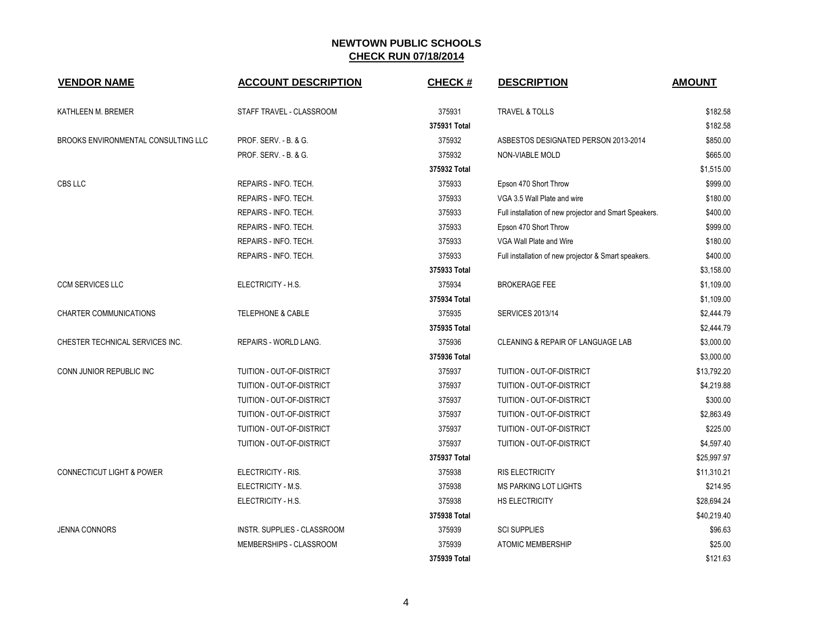| <b>VENDOR NAME</b>                   | <b>ACCOUNT DESCRIPTION</b>   | <b>CHECK#</b> | <b>DESCRIPTION</b>                                     | <b>AMOUNT</b> |
|--------------------------------------|------------------------------|---------------|--------------------------------------------------------|---------------|
| KATHLEEN M. BREMER                   | STAFF TRAVEL - CLASSROOM     | 375931        | <b>TRAVEL &amp; TOLLS</b>                              | \$182.58      |
|                                      |                              | 375931 Total  |                                                        | \$182.58      |
| BROOKS ENVIRONMENTAL CONSULTING LLC  | PROF. SERV. - B. & G.        | 375932        | ASBESTOS DESIGNATED PERSON 2013-2014                   | \$850.00      |
|                                      | PROF. SERV. - B. & G.        | 375932        | <b>NON-VIABLE MOLD</b>                                 | \$665.00      |
|                                      |                              | 375932 Total  |                                                        | \$1,515.00    |
| CBS LLC                              | REPAIRS - INFO. TECH.        | 375933        | Epson 470 Short Throw                                  | \$999.00      |
|                                      | REPAIRS - INFO. TECH.        | 375933        | VGA 3.5 Wall Plate and wire                            | \$180.00      |
|                                      | REPAIRS - INFO. TECH.        | 375933        | Full installation of new projector and Smart Speakers. | \$400.00      |
|                                      | REPAIRS - INFO. TECH.        | 375933        | Epson 470 Short Throw                                  | \$999.00      |
|                                      | REPAIRS - INFO. TECH.        | 375933        | VGA Wall Plate and Wire                                | \$180.00      |
|                                      | REPAIRS - INFO. TECH.        | 375933        | Full installation of new projector & Smart speakers.   | \$400.00      |
|                                      |                              | 375933 Total  |                                                        | \$3,158.00    |
| <b>CCM SERVICES LLC</b>              | ELECTRICITY - H.S.           | 375934        | <b>BROKERAGE FEE</b>                                   | \$1,109.00    |
|                                      |                              | 375934 Total  |                                                        | \$1,109.00    |
| <b>CHARTER COMMUNICATIONS</b>        | <b>TELEPHONE &amp; CABLE</b> | 375935        | <b>SERVICES 2013/14</b>                                | \$2,444.79    |
|                                      |                              | 375935 Total  |                                                        | \$2,444.79    |
| CHESTER TECHNICAL SERVICES INC.      | REPAIRS - WORLD LANG.        | 375936        | CLEANING & REPAIR OF LANGUAGE LAB                      | \$3,000.00    |
|                                      |                              | 375936 Total  |                                                        | \$3,000.00    |
| CONN JUNIOR REPUBLIC INC             | TUITION - OUT-OF-DISTRICT    | 375937        | TUITION - OUT-OF-DISTRICT                              | \$13,792.20   |
|                                      | TUITION - OUT-OF-DISTRICT    | 375937        | TUITION - OUT-OF-DISTRICT                              | \$4,219.88    |
|                                      | TUITION - OUT-OF-DISTRICT    | 375937        | TUITION - OUT-OF-DISTRICT                              | \$300.00      |
|                                      | TUITION - OUT-OF-DISTRICT    | 375937        | TUITION - OUT-OF-DISTRICT                              | \$2,863.49    |
|                                      | TUITION - OUT-OF-DISTRICT    | 375937        | TUITION - OUT-OF-DISTRICT                              | \$225.00      |
|                                      | TUITION - OUT-OF-DISTRICT    | 375937        | TUITION - OUT-OF-DISTRICT                              | \$4,597.40    |
|                                      |                              | 375937 Total  |                                                        | \$25,997.97   |
| <b>CONNECTICUT LIGHT &amp; POWER</b> | ELECTRICITY - RIS.           | 375938        | <b>RIS ELECTRICITY</b>                                 | \$11,310.21   |
|                                      | ELECTRICITY - M.S.           | 375938        | <b>MS PARKING LOT LIGHTS</b>                           | \$214.95      |
|                                      | ELECTRICITY - H.S.           | 375938        | HS ELECTRICITY                                         | \$28,694.24   |
|                                      |                              | 375938 Total  |                                                        | \$40,219.40   |
| <b>JENNA CONNORS</b>                 | INSTR. SUPPLIES - CLASSROOM  | 375939        | <b>SCI SUPPLIES</b>                                    | \$96.63       |
|                                      | MEMBERSHIPS - CLASSROOM      | 375939        | <b>ATOMIC MEMBERSHIP</b>                               | \$25.00       |
|                                      |                              | 375939 Total  |                                                        | \$121.63      |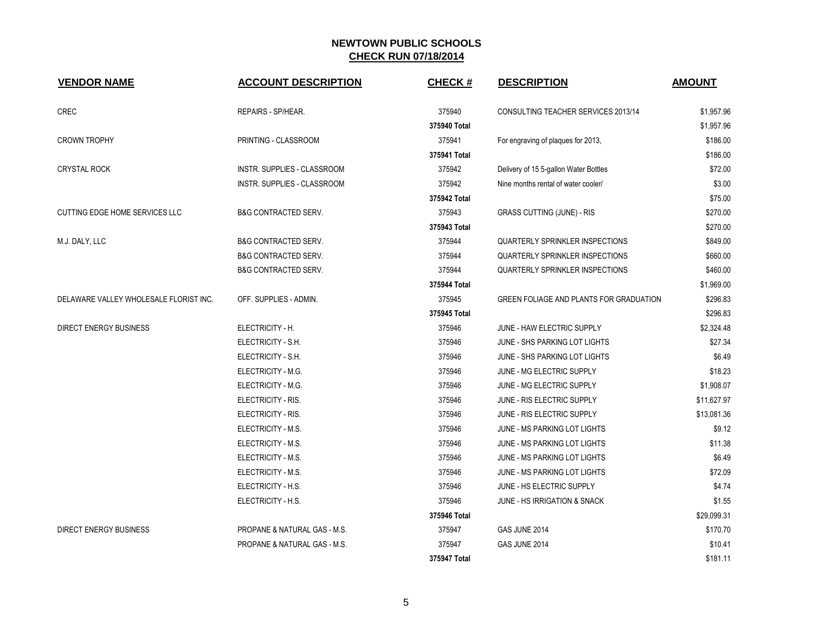| <b>VENDOR NAME</b>                     | <b>ACCOUNT DESCRIPTION</b>         | <b>CHECK#</b> | <b>DESCRIPTION</b>                      | <b>AMOUNT</b> |
|----------------------------------------|------------------------------------|---------------|-----------------------------------------|---------------|
| <b>CREC</b>                            | REPAIRS - SP/HEAR.                 | 375940        | CONSULTING TEACHER SERVICES 2013/14     | \$1,957.96    |
|                                        |                                    | 375940 Total  |                                         | \$1,957.96    |
| <b>CROWN TROPHY</b>                    | PRINTING - CLASSROOM               | 375941        | For engraving of plaques for 2013,      | \$186.00      |
|                                        |                                    | 375941 Total  |                                         | \$186.00      |
| <b>CRYSTAL ROCK</b>                    | INSTR. SUPPLIES - CLASSROOM        | 375942        | Delivery of 15 5-gallon Water Bottles   | \$72.00       |
|                                        | <b>INSTR. SUPPLIES - CLASSROOM</b> | 375942        | Nine months rental of water cooler/     | \$3.00        |
|                                        |                                    | 375942 Total  |                                         | \$75.00       |
| CUTTING EDGE HOME SERVICES LLC         | <b>B&amp;G CONTRACTED SERV.</b>    | 375943        | GRASS CUTTING (JUNE) - RIS              | \$270.00      |
|                                        |                                    | 375943 Total  |                                         | \$270.00      |
| M.J. DALY, LLC                         | <b>B&amp;G CONTRACTED SERV.</b>    | 375944        | <b>QUARTERLY SPRINKLER INSPECTIONS</b>  | \$849.00      |
|                                        | <b>B&amp;G CONTRACTED SERV.</b>    | 375944        | <b>QUARTERLY SPRINKLER INSPECTIONS</b>  | \$660.00      |
|                                        | <b>B&amp;G CONTRACTED SERV.</b>    | 375944        | <b>QUARTERLY SPRINKLER INSPECTIONS</b>  | \$460.00      |
|                                        |                                    | 375944 Total  |                                         | \$1,969.00    |
| DELAWARE VALLEY WHOLESALE FLORIST INC. | OFF. SUPPLIES - ADMIN.             | 375945        | GREEN FOLIAGE AND PLANTS FOR GRADUATION | \$296.83      |
|                                        |                                    | 375945 Total  |                                         | \$296.83      |
| <b>DIRECT ENERGY BUSINESS</b>          | ELECTRICITY - H.                   | 375946        | JUNE - HAW ELECTRIC SUPPLY              | \$2,324.48    |
|                                        | ELECTRICITY - S.H.                 | 375946        | JUNE - SHS PARKING LOT LIGHTS           | \$27.34       |
|                                        | ELECTRICITY - S.H.                 | 375946        | JUNE - SHS PARKING LOT LIGHTS           | \$6.49        |
|                                        | ELECTRICITY - M.G.                 | 375946        | JUNE - MG ELECTRIC SUPPLY               | \$18.23       |
|                                        | ELECTRICITY - M.G.                 | 375946        | JUNE - MG ELECTRIC SUPPLY               | \$1,908.07    |
|                                        | ELECTRICITY - RIS.                 | 375946        | JUNE - RIS ELECTRIC SUPPLY              | \$11,627.97   |
|                                        | ELECTRICITY - RIS.                 | 375946        | JUNE - RIS ELECTRIC SUPPLY              | \$13,081.36   |
|                                        | ELECTRICITY - M.S.                 | 375946        | JUNE - MS PARKING LOT LIGHTS            | \$9.12        |
|                                        | ELECTRICITY - M.S.                 | 375946        | JUNE - MS PARKING LOT LIGHTS            | \$11.38       |
|                                        | ELECTRICITY - M.S.                 | 375946        | <b>JUNE - MS PARKING LOT LIGHTS</b>     | \$6.49        |
|                                        | ELECTRICITY - M.S.                 | 375946        | JUNE - MS PARKING LOT LIGHTS            | \$72.09       |
|                                        | ELECTRICITY - H.S.                 | 375946        | JUNE - HS ELECTRIC SUPPLY               | \$4.74        |
|                                        | ELECTRICITY - H.S.                 | 375946        | <b>JUNE - HS IRRIGATION &amp; SNACK</b> | \$1.55        |
|                                        |                                    | 375946 Total  |                                         | \$29,099.31   |
| <b>DIRECT ENERGY BUSINESS</b>          | PROPANE & NATURAL GAS - M.S.       | 375947        | GAS JUNE 2014                           | \$170.70      |
|                                        | PROPANE & NATURAL GAS - M.S.       | 375947        | GAS JUNE 2014                           | \$10.41       |
|                                        |                                    | 375947 Total  |                                         | \$181.11      |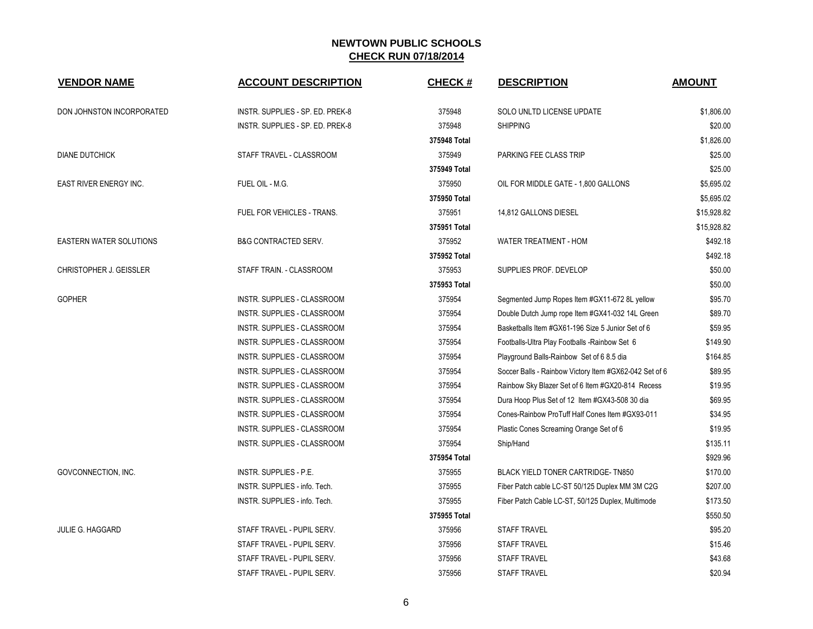| <b>VENDOR NAME</b>             | <b>ACCOUNT DESCRIPTION</b>       | <b>CHECK#</b> | <b>DESCRIPTION</b>                                     | <b>AMOUNT</b> |
|--------------------------------|----------------------------------|---------------|--------------------------------------------------------|---------------|
|                                |                                  |               |                                                        |               |
| DON JOHNSTON INCORPORATED      | INSTR. SUPPLIES - SP. ED. PREK-8 | 375948        | SOLO UNLTD LICENSE UPDATE                              | \$1,806.00    |
|                                | INSTR. SUPPLIES - SP. ED. PREK-8 | 375948        | <b>SHIPPING</b>                                        | \$20.00       |
|                                |                                  | 375948 Total  |                                                        | \$1,826.00    |
| <b>DIANE DUTCHICK</b>          | STAFF TRAVEL - CLASSROOM         | 375949        | PARKING FEE CLASS TRIP                                 | \$25.00       |
|                                |                                  | 375949 Total  |                                                        | \$25.00       |
| <b>EAST RIVER ENERGY INC.</b>  | FUEL OIL - M.G.                  | 375950        | OIL FOR MIDDLE GATE - 1,800 GALLONS                    | \$5,695.02    |
|                                |                                  | 375950 Total  |                                                        | \$5,695.02    |
|                                | FUEL FOR VEHICLES - TRANS.       | 375951        | 14,812 GALLONS DIESEL                                  | \$15,928.82   |
|                                |                                  | 375951 Total  |                                                        | \$15,928.82   |
| <b>EASTERN WATER SOLUTIONS</b> | <b>B&amp;G CONTRACTED SERV.</b>  | 375952        | <b>WATER TREATMENT - HOM</b>                           | \$492.18      |
|                                |                                  | 375952 Total  |                                                        | \$492.18      |
| CHRISTOPHER J. GEISSLER        | STAFF TRAIN. - CLASSROOM         | 375953        | SUPPLIES PROF. DEVELOP                                 | \$50.00       |
|                                |                                  | 375953 Total  |                                                        | \$50.00       |
| <b>GOPHER</b>                  | INSTR. SUPPLIES - CLASSROOM      | 375954        | Segmented Jump Ropes Item #GX11-672 8L yellow          | \$95.70       |
|                                | INSTR. SUPPLIES - CLASSROOM      | 375954        | Double Dutch Jump rope Item #GX41-032 14L Green        | \$89.70       |
|                                | INSTR. SUPPLIES - CLASSROOM      | 375954        | Basketballs Item #GX61-196 Size 5 Junior Set of 6      | \$59.95       |
|                                | INSTR. SUPPLIES - CLASSROOM      | 375954        | Footballs-Ultra Play Footballs -Rainbow Set 6          | \$149.90      |
|                                | INSTR. SUPPLIES - CLASSROOM      | 375954        | Playground Balls-Rainbow Set of 6 8.5 dia              | \$164.85      |
|                                | INSTR. SUPPLIES - CLASSROOM      | 375954        | Soccer Balls - Rainbow Victory Item #GX62-042 Set of 6 | \$89.95       |
|                                | INSTR. SUPPLIES - CLASSROOM      | 375954        | Rainbow Sky Blazer Set of 6 Item #GX20-814 Recess      | \$19.95       |
|                                | INSTR. SUPPLIES - CLASSROOM      | 375954        | Dura Hoop Plus Set of 12 Item #GX43-508 30 dia         | \$69.95       |
|                                | INSTR. SUPPLIES - CLASSROOM      | 375954        | Cones-Rainbow ProTuff Half Cones Item #GX93-011        | \$34.95       |
|                                | INSTR. SUPPLIES - CLASSROOM      | 375954        | Plastic Cones Screaming Orange Set of 6                | \$19.95       |
|                                | INSTR. SUPPLIES - CLASSROOM      | 375954        | Ship/Hand                                              | \$135.11      |
|                                |                                  | 375954 Total  |                                                        | \$929.96      |
| GOVCONNECTION, INC.            | INSTR. SUPPLIES - P.E.           | 375955        | BLACK YIELD TONER CARTRIDGE-TN850                      | \$170.00      |
|                                | INSTR. SUPPLIES - info. Tech.    | 375955        | Fiber Patch cable LC-ST 50/125 Duplex MM 3M C2G        | \$207.00      |
|                                | INSTR. SUPPLIES - info. Tech.    | 375955        | Fiber Patch Cable LC-ST, 50/125 Duplex, Multimode      | \$173.50      |
|                                |                                  | 375955 Total  |                                                        | \$550.50      |
| <b>JULIE G. HAGGARD</b>        | STAFF TRAVEL - PUPIL SERV.       | 375956        | <b>STAFF TRAVEL</b>                                    | \$95.20       |
|                                | STAFF TRAVEL - PUPIL SERV.       | 375956        | <b>STAFF TRAVEL</b>                                    | \$15.46       |
|                                | STAFF TRAVEL - PUPIL SERV.       | 375956        | <b>STAFF TRAVEL</b>                                    | \$43.68       |
|                                | STAFF TRAVEL - PUPIL SERV.       | 375956        | <b>STAFF TRAVEL</b>                                    | \$20.94       |
|                                |                                  |               |                                                        |               |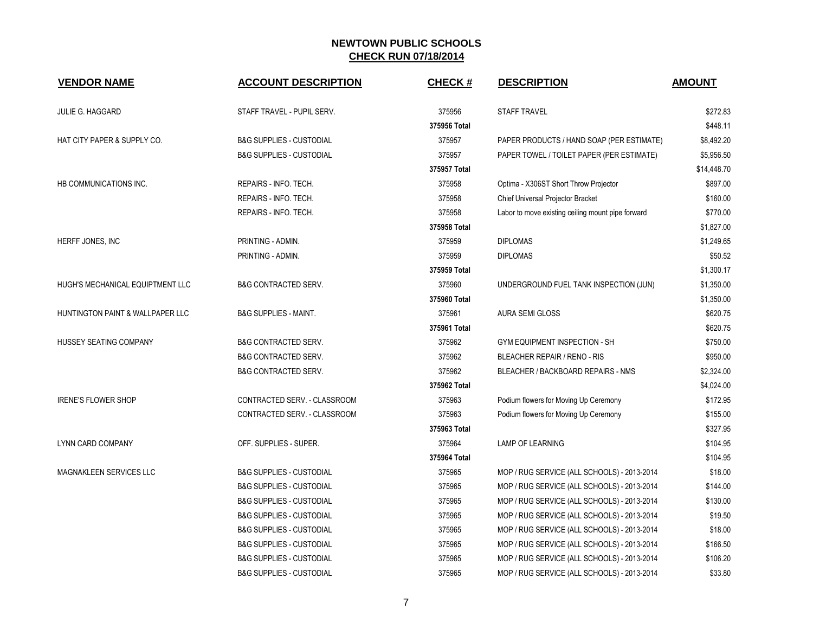| <b>VENDOR NAME</b>               | <b>ACCOUNT DESCRIPTION</b>          | <b>CHECK#</b> | <b>DESCRIPTION</b>                                | <b>AMOUNT</b> |
|----------------------------------|-------------------------------------|---------------|---------------------------------------------------|---------------|
| JULIE G. HAGGARD                 | STAFF TRAVEL - PUPIL SERV.          | 375956        | <b>STAFF TRAVEL</b>                               | \$272.83      |
|                                  |                                     | 375956 Total  |                                                   | \$448.11      |
| HAT CITY PAPER & SUPPLY CO.      | <b>B&amp;G SUPPLIES - CUSTODIAL</b> | 375957        | PAPER PRODUCTS / HAND SOAP (PER ESTIMATE)         | \$8.492.20    |
|                                  | <b>B&amp;G SUPPLIES - CUSTODIAL</b> | 375957        | PAPER TOWEL / TOILET PAPER (PER ESTIMATE)         | \$5,956.50    |
|                                  |                                     | 375957 Total  |                                                   | \$14,448.70   |
| HB COMMUNICATIONS INC.           | REPAIRS - INFO. TECH.               | 375958        | Optima - X306ST Short Throw Projector             | \$897.00      |
|                                  | REPAIRS - INFO. TECH.               | 375958        | Chief Universal Projector Bracket                 | \$160.00      |
|                                  | REPAIRS - INFO. TECH.               | 375958        | Labor to move existing ceiling mount pipe forward | \$770.00      |
|                                  |                                     | 375958 Total  |                                                   | \$1,827.00    |
| HERFF JONES, INC                 | PRINTING - ADMIN.                   | 375959        | <b>DIPLOMAS</b>                                   | \$1,249.65    |
|                                  | PRINTING - ADMIN.                   | 375959        | <b>DIPLOMAS</b>                                   | \$50.52       |
|                                  |                                     | 375959 Total  |                                                   | \$1,300.17    |
| HUGH'S MECHANICAL EQUIPTMENT LLC | <b>B&amp;G CONTRACTED SERV.</b>     | 375960        | UNDERGROUND FUEL TANK INSPECTION (JUN)            | \$1,350.00    |
|                                  |                                     | 375960 Total  |                                                   | \$1,350.00    |
| HUNTINGTON PAINT & WALLPAPER LLC | <b>B&amp;G SUPPLIES - MAINT.</b>    | 375961        | <b>AURA SEMI GLOSS</b>                            | \$620.75      |
|                                  |                                     | 375961 Total  |                                                   | \$620.75      |
| HUSSEY SEATING COMPANY           | <b>B&amp;G CONTRACTED SERV.</b>     | 375962        | GYM EQUIPMENT INSPECTION - SH                     | \$750.00      |
|                                  | <b>B&amp;G CONTRACTED SERV.</b>     | 375962        | BLEACHER REPAIR / RENO - RIS                      | \$950.00      |
|                                  | <b>B&amp;G CONTRACTED SERV.</b>     | 375962        | BLEACHER / BACKBOARD REPAIRS - NMS                | \$2,324.00    |
|                                  |                                     | 375962 Total  |                                                   | \$4,024.00    |
| <b>IRENE'S FLOWER SHOP</b>       | CONTRACTED SERV. - CLASSROOM        | 375963        | Podium flowers for Moving Up Ceremony             | \$172.95      |
|                                  | CONTRACTED SERV. - CLASSROOM        | 375963        | Podium flowers for Moving Up Ceremony             | \$155.00      |
|                                  |                                     | 375963 Total  |                                                   | \$327.95      |
| LYNN CARD COMPANY                | OFF. SUPPLIES - SUPER.              | 375964        | <b>LAMP OF LEARNING</b>                           | \$104.95      |
|                                  |                                     | 375964 Total  |                                                   | \$104.95      |
| <b>MAGNAKLEEN SERVICES LLC</b>   | <b>B&amp;G SUPPLIES - CUSTODIAL</b> | 375965        | MOP / RUG SERVICE (ALL SCHOOLS) - 2013-2014       | \$18.00       |
|                                  | <b>B&amp;G SUPPLIES - CUSTODIAL</b> | 375965        | MOP / RUG SERVICE (ALL SCHOOLS) - 2013-2014       | \$144.00      |
|                                  | <b>B&amp;G SUPPLIES - CUSTODIAL</b> | 375965        | MOP / RUG SERVICE (ALL SCHOOLS) - 2013-2014       | \$130.00      |
|                                  | <b>B&amp;G SUPPLIES - CUSTODIAL</b> | 375965        | MOP / RUG SERVICE (ALL SCHOOLS) - 2013-2014       | \$19.50       |
|                                  | <b>B&amp;G SUPPLIES - CUSTODIAL</b> | 375965        | MOP / RUG SERVICE (ALL SCHOOLS) - 2013-2014       | \$18.00       |
|                                  | <b>B&amp;G SUPPLIES - CUSTODIAL</b> | 375965        | MOP / RUG SERVICE (ALL SCHOOLS) - 2013-2014       | \$166.50      |
|                                  | <b>B&amp;G SUPPLIES - CUSTODIAL</b> | 375965        | MOP / RUG SERVICE (ALL SCHOOLS) - 2013-2014       | \$106.20      |
|                                  | <b>B&amp;G SUPPLIES - CUSTODIAL</b> | 375965        | MOP / RUG SERVICE (ALL SCHOOLS) - 2013-2014       | \$33.80       |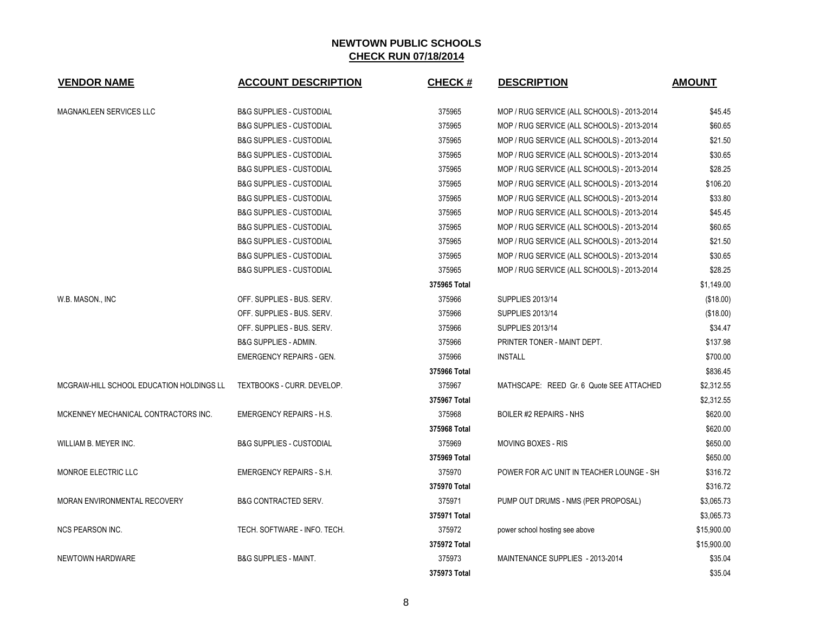| <b>VENDOR NAME</b>                       | <b>ACCOUNT DESCRIPTION</b>          | <b>CHECK#</b> | <b>DESCRIPTION</b>                          | <b>AMOUNT</b> |
|------------------------------------------|-------------------------------------|---------------|---------------------------------------------|---------------|
| <b>MAGNAKLEEN SERVICES LLC</b>           | <b>B&amp;G SUPPLIES - CUSTODIAL</b> | 375965        | MOP / RUG SERVICE (ALL SCHOOLS) - 2013-2014 | \$45.45       |
|                                          | <b>B&amp;G SUPPLIES - CUSTODIAL</b> | 375965        | MOP / RUG SERVICE (ALL SCHOOLS) - 2013-2014 | \$60.65       |
|                                          | <b>B&amp;G SUPPLIES - CUSTODIAL</b> | 375965        | MOP / RUG SERVICE (ALL SCHOOLS) - 2013-2014 | \$21.50       |
|                                          | <b>B&amp;G SUPPLIES - CUSTODIAL</b> | 375965        | MOP / RUG SERVICE (ALL SCHOOLS) - 2013-2014 | \$30.65       |
|                                          | <b>B&amp;G SUPPLIES - CUSTODIAL</b> | 375965        | MOP / RUG SERVICE (ALL SCHOOLS) - 2013-2014 | \$28.25       |
|                                          | <b>B&amp;G SUPPLIES - CUSTODIAL</b> | 375965        | MOP / RUG SERVICE (ALL SCHOOLS) - 2013-2014 | \$106.20      |
|                                          | <b>B&amp;G SUPPLIES - CUSTODIAL</b> | 375965        | MOP / RUG SERVICE (ALL SCHOOLS) - 2013-2014 | \$33.80       |
|                                          | <b>B&amp;G SUPPLIES - CUSTODIAL</b> | 375965        | MOP / RUG SERVICE (ALL SCHOOLS) - 2013-2014 | \$45.45       |
|                                          | <b>B&amp;G SUPPLIES - CUSTODIAL</b> | 375965        | MOP / RUG SERVICE (ALL SCHOOLS) - 2013-2014 | \$60.65       |
|                                          | <b>B&amp;G SUPPLIES - CUSTODIAL</b> | 375965        | MOP / RUG SERVICE (ALL SCHOOLS) - 2013-2014 | \$21.50       |
|                                          | <b>B&amp;G SUPPLIES - CUSTODIAL</b> | 375965        | MOP / RUG SERVICE (ALL SCHOOLS) - 2013-2014 | \$30.65       |
|                                          | <b>B&amp;G SUPPLIES - CUSTODIAL</b> | 375965        | MOP / RUG SERVICE (ALL SCHOOLS) - 2013-2014 | \$28.25       |
|                                          |                                     | 375965 Total  |                                             | \$1,149.00    |
| W.B. MASON., INC                         | OFF. SUPPLIES - BUS. SERV.          | 375966        | <b>SUPPLIES 2013/14</b>                     | (\$18.00)     |
|                                          | OFF. SUPPLIES - BUS. SERV.          | 375966        | <b>SUPPLIES 2013/14</b>                     | (\$18.00)     |
|                                          | OFF. SUPPLIES - BUS. SERV.          | 375966        | <b>SUPPLIES 2013/14</b>                     | \$34.47       |
|                                          | <b>B&amp;G SUPPLIES - ADMIN.</b>    | 375966        | PRINTER TONER - MAINT DEPT.                 | \$137.98      |
|                                          | <b>EMERGENCY REPAIRS - GEN.</b>     | 375966        | <b>INSTALL</b>                              | \$700.00      |
|                                          |                                     | 375966 Total  |                                             | \$836.45      |
| MCGRAW-HILL SCHOOL EDUCATION HOLDINGS LL | TEXTBOOKS - CURR. DEVELOP.          | 375967        | MATHSCAPE: REED Gr. 6 Quote SEE ATTACHED    | \$2,312.55    |
|                                          |                                     | 375967 Total  |                                             | \$2,312.55    |
| MCKENNEY MECHANICAL CONTRACTORS INC.     | <b>EMERGENCY REPAIRS - H.S.</b>     | 375968        | <b>BOILER #2 REPAIRS - NHS</b>              | \$620.00      |
|                                          |                                     | 375968 Total  |                                             | \$620.00      |
| WILLIAM B. MEYER INC.                    | <b>B&amp;G SUPPLIES - CUSTODIAL</b> | 375969        | MOVING BOXES - RIS                          | \$650.00      |
|                                          |                                     | 375969 Total  |                                             | \$650.00      |
| MONROE ELECTRIC LLC                      | <b>EMERGENCY REPAIRS - S.H.</b>     | 375970        | POWER FOR A/C UNIT IN TEACHER LOUNGE - SH   | \$316.72      |
|                                          |                                     | 375970 Total  |                                             | \$316.72      |
| MORAN ENVIRONMENTAL RECOVERY             | <b>B&amp;G CONTRACTED SERV.</b>     | 375971        | PUMP OUT DRUMS - NMS (PER PROPOSAL)         | \$3,065.73    |
|                                          |                                     | 375971 Total  |                                             | \$3,065.73    |
| <b>NCS PEARSON INC.</b>                  | TECH. SOFTWARE - INFO. TECH.        | 375972        | power school hosting see above              | \$15,900.00   |
|                                          |                                     | 375972 Total  |                                             | \$15,900.00   |
| NEWTOWN HARDWARE                         | <b>B&amp;G SUPPLIES - MAINT.</b>    | 375973        | MAINTENANCE SUPPLIES - 2013-2014            | \$35.04       |
|                                          |                                     | 375973 Total  |                                             | \$35.04       |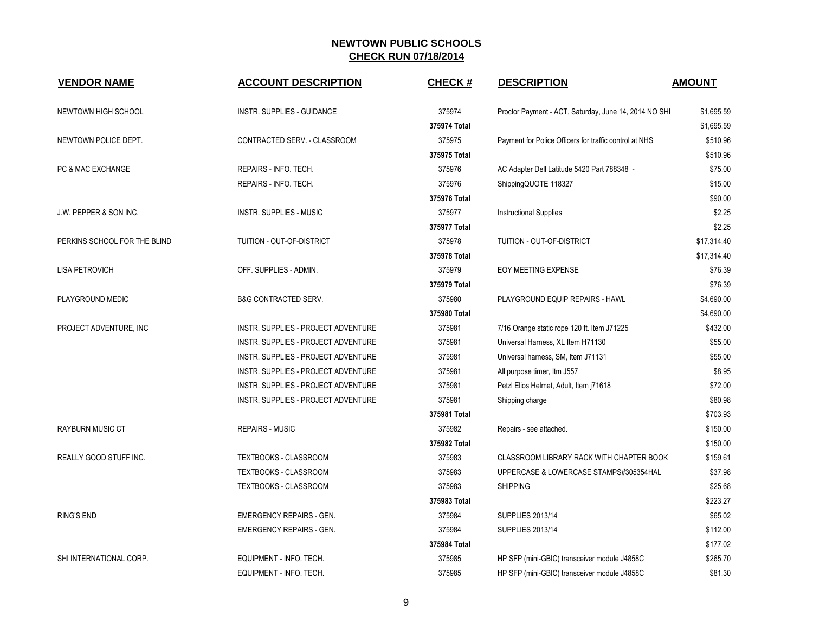| <b>VENDOR NAME</b>                | <b>ACCOUNT DESCRIPTION</b>          | <b>CHECK#</b> | <b>DESCRIPTION</b>                                     | <b>AMOUNT</b> |
|-----------------------------------|-------------------------------------|---------------|--------------------------------------------------------|---------------|
| NEWTOWN HIGH SCHOOL               | <b>INSTR. SUPPLIES - GUIDANCE</b>   | 375974        | Proctor Payment - ACT, Saturday, June 14, 2014 NO SHI  | \$1,695.59    |
|                                   |                                     | 375974 Total  |                                                        | \$1,695.59    |
| NEWTOWN POLICE DEPT.              | CONTRACTED SERV. - CLASSROOM        | 375975        | Payment for Police Officers for traffic control at NHS | \$510.96      |
|                                   |                                     | 375975 Total  |                                                        | \$510.96      |
| PC & MAC EXCHANGE                 | REPAIRS - INFO. TECH.               | 375976        | AC Adapter Dell Latitude 5420 Part 788348 -            | \$75.00       |
|                                   | REPAIRS - INFO. TECH.               | 375976        | ShippingQUOTE 118327                                   | \$15.00       |
|                                   |                                     | 375976 Total  |                                                        | \$90.00       |
| <b>J.W. PEPPER &amp; SON INC.</b> | <b>INSTR. SUPPLIES - MUSIC</b>      | 375977        | <b>Instructional Supplies</b>                          | \$2.25        |
|                                   |                                     | 375977 Total  |                                                        | \$2.25        |
| PERKINS SCHOOL FOR THE BLIND      | TUITION - OUT-OF-DISTRICT           | 375978        | TUITION - OUT-OF-DISTRICT                              | \$17,314.40   |
|                                   |                                     | 375978 Total  |                                                        | \$17,314.40   |
| <b>LISA PETROVICH</b>             | OFF. SUPPLIES - ADMIN.              | 375979        | <b>EOY MEETING EXPENSE</b>                             | \$76.39       |
|                                   |                                     | 375979 Total  |                                                        | \$76.39       |
| PLAYGROUND MEDIC                  | <b>B&amp;G CONTRACTED SERV.</b>     | 375980        | PLAYGROUND EQUIP REPAIRS - HAWL                        | \$4,690.00    |
|                                   |                                     | 375980 Total  |                                                        | \$4,690.00    |
| PROJECT ADVENTURE, INC            | INSTR. SUPPLIES - PROJECT ADVENTURE | 375981        | 7/16 Orange static rope 120 ft. Item J71225            | \$432.00      |
|                                   | INSTR. SUPPLIES - PROJECT ADVENTURE | 375981        | Universal Harness, XL Item H71130                      | \$55.00       |
|                                   | INSTR. SUPPLIES - PROJECT ADVENTURE | 375981        | Universal harness, SM, Item J71131                     | \$55.00       |
|                                   | INSTR. SUPPLIES - PROJECT ADVENTURE | 375981        | All purpose timer, Itm J557                            | \$8.95        |
|                                   | INSTR. SUPPLIES - PROJECT ADVENTURE | 375981        | Petzl Elios Helmet, Adult, Item j71618                 | \$72.00       |
|                                   | INSTR. SUPPLIES - PROJECT ADVENTURE | 375981        | Shipping charge                                        | \$80.98       |
|                                   |                                     | 375981 Total  |                                                        | \$703.93      |
| <b>RAYBURN MUSIC CT</b>           | <b>REPAIRS - MUSIC</b>              | 375982        | Repairs - see attached.                                | \$150.00      |
|                                   |                                     | 375982 Total  |                                                        | \$150.00      |
| REALLY GOOD STUFF INC.            | TEXTBOOKS - CLASSROOM               | 375983        | CLASSROOM LIBRARY RACK WITH CHAPTER BOOK               | \$159.61      |
|                                   | TEXTBOOKS - CLASSROOM               | 375983        | UPPERCASE & LOWERCASE STAMPS#305354HAL                 | \$37.98       |
|                                   | TEXTBOOKS - CLASSROOM               | 375983        | <b>SHIPPING</b>                                        | \$25.68       |
|                                   |                                     | 375983 Total  |                                                        | \$223.27      |
| <b>RING'S END</b>                 | <b>EMERGENCY REPAIRS - GEN.</b>     | 375984        | <b>SUPPLIES 2013/14</b>                                | \$65.02       |
|                                   | <b>EMERGENCY REPAIRS - GEN.</b>     | 375984        | <b>SUPPLIES 2013/14</b>                                | \$112.00      |
|                                   |                                     | 375984 Total  |                                                        | \$177.02      |
| SHI INTERNATIONAL CORP.           | EQUIPMENT - INFO. TECH.             | 375985        | HP SFP (mini-GBIC) transceiver module J4858C           | \$265.70      |
|                                   | EQUIPMENT - INFO. TECH.             | 375985        | HP SFP (mini-GBIC) transceiver module J4858C           | \$81.30       |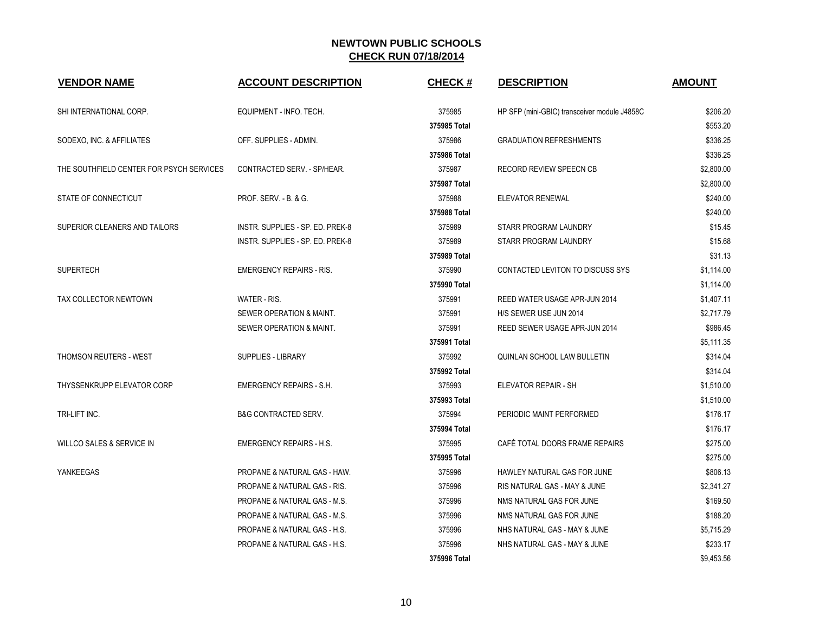| <b>VENDOR NAME</b>                       | <b>ACCOUNT DESCRIPTION</b>              | <b>CHECK#</b> | <b>DESCRIPTION</b>                           | <b>AMOUNT</b> |
|------------------------------------------|-----------------------------------------|---------------|----------------------------------------------|---------------|
| SHI INTERNATIONAL CORP.                  | EQUIPMENT - INFO. TECH.                 | 375985        | HP SFP (mini-GBIC) transceiver module J4858C | \$206.20      |
|                                          |                                         | 375985 Total  |                                              | \$553.20      |
| SODEXO, INC. & AFFILIATES                | OFF. SUPPLIES - ADMIN.                  | 375986        | <b>GRADUATION REFRESHMENTS</b>               | \$336.25      |
|                                          |                                         | 375986 Total  |                                              | \$336.25      |
| THE SOUTHFIELD CENTER FOR PSYCH SERVICES | CONTRACTED SERV. - SP/HEAR.             | 375987        | RECORD REVIEW SPEECN CB                      | \$2,800.00    |
|                                          |                                         | 375987 Total  |                                              | \$2,800.00    |
| STATE OF CONNECTICUT                     | PROF. SERV. - B. & G.                   | 375988        | ELEVATOR RENEWAL                             | \$240.00      |
|                                          |                                         | 375988 Total  |                                              | \$240.00      |
| SUPERIOR CLEANERS AND TAILORS            | INSTR. SUPPLIES - SP. ED. PREK-8        | 375989        | STARR PROGRAM LAUNDRY                        | \$15.45       |
|                                          | INSTR. SUPPLIES - SP. ED. PREK-8        | 375989        | STARR PROGRAM LAUNDRY                        | \$15.68       |
|                                          |                                         | 375989 Total  |                                              | \$31.13       |
| <b>SUPERTECH</b>                         | <b>EMERGENCY REPAIRS - RIS.</b>         | 375990        | <b>CONTACTED LEVITON TO DISCUSS SYS</b>      | \$1,114.00    |
|                                          |                                         | 375990 Total  |                                              | \$1,114.00    |
| TAX COLLECTOR NEWTOWN                    | WATER - RIS.                            | 375991        | REED WATER USAGE APR-JUN 2014                | \$1,407.11    |
|                                          | SEWER OPERATION & MAINT.                | 375991        | H/S SEWER USE JUN 2014                       | \$2,717.79    |
|                                          | SEWER OPERATION & MAINT.                | 375991        | REED SEWER USAGE APR-JUN 2014                | \$986.45      |
|                                          |                                         | 375991 Total  |                                              | \$5,111.35    |
| THOMSON REUTERS - WEST                   | SUPPLIES - LIBRARY                      | 375992        | QUINLAN SCHOOL LAW BULLETIN                  | \$314.04      |
|                                          |                                         | 375992 Total  |                                              | \$314.04      |
| THYSSENKRUPP ELEVATOR CORP               | <b>EMERGENCY REPAIRS - S.H.</b>         | 375993        | ELEVATOR REPAIR - SH                         | \$1,510.00    |
|                                          |                                         | 375993 Total  |                                              | \$1,510.00    |
| TRI-LIFT INC.                            | <b>B&amp;G CONTRACTED SERV.</b>         | 375994        | PERIODIC MAINT PERFORMED                     | \$176.17      |
|                                          |                                         | 375994 Total  |                                              | \$176.17      |
| WILLCO SALES & SERVICE IN                | <b>EMERGENCY REPAIRS - H.S.</b>         | 375995        | CAFÉ TOTAL DOORS FRAME REPAIRS               | \$275.00      |
|                                          |                                         | 375995 Total  |                                              | \$275.00      |
| YANKEEGAS                                | PROPANE & NATURAL GAS - HAW.            | 375996        | HAWLEY NATURAL GAS FOR JUNE                  | \$806.13      |
|                                          | PROPANE & NATURAL GAS - RIS.            | 375996        | RIS NATURAL GAS - MAY & JUNE                 | \$2,341.27    |
|                                          | <b>PROPANE &amp; NATURAL GAS - M.S.</b> | 375996        | NMS NATURAL GAS FOR JUNE                     | \$169.50      |
|                                          | PROPANE & NATURAL GAS - M.S.            | 375996        | NMS NATURAL GAS FOR JUNE                     | \$188.20      |
|                                          | PROPANE & NATURAL GAS - H.S.            | 375996        | NHS NATURAL GAS - MAY & JUNE                 | \$5,715.29    |
|                                          | PROPANE & NATURAL GAS - H.S.            | 375996        | NHS NATURAL GAS - MAY & JUNE                 | \$233.17      |
|                                          |                                         | 375996 Total  |                                              | \$9,453.56    |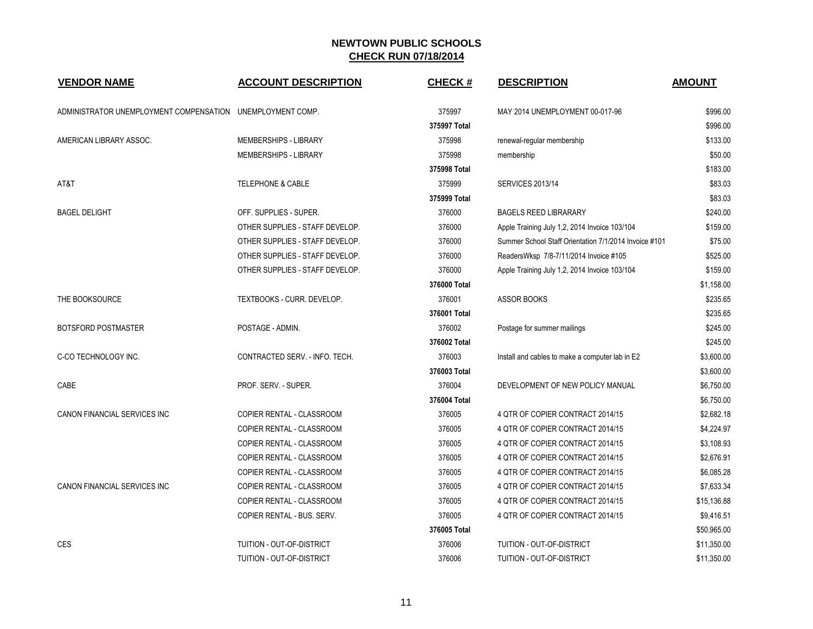| <b>VENDOR NAME</b>                                         | <b>ACCOUNT DESCRIPTION</b>       | <b>CHECK#</b> | <b>DESCRIPTION</b>                                    | <b>AMOUNT</b> |
|------------------------------------------------------------|----------------------------------|---------------|-------------------------------------------------------|---------------|
| ADMINISTRATOR UNEMPLOYMENT COMPENSATION UNEMPLOYMENT COMP. |                                  | 375997        | MAY 2014 UNEMPLOYMENT 00-017-96                       | \$996.00      |
|                                                            |                                  | 375997 Total  |                                                       | \$996.00      |
| AMERICAN LIBRARY ASSOC.                                    | MEMBERSHIPS - LIBRARY            | 375998        | renewal-regular membership                            | \$133.00      |
|                                                            | MEMBERSHIPS - LIBRARY            | 375998        | membership                                            | \$50.00       |
|                                                            |                                  | 375998 Total  |                                                       | \$183.00      |
| AT&T                                                       | <b>TELEPHONE &amp; CABLE</b>     | 375999        | <b>SERVICES 2013/14</b>                               | \$83.03       |
|                                                            |                                  | 375999 Total  |                                                       | \$83.03       |
| <b>BAGEL DELIGHT</b>                                       | OFF. SUPPLIES - SUPER.           | 376000        | <b>BAGELS REED LIBRARARY</b>                          | \$240.00      |
|                                                            | OTHER SUPPLIES - STAFF DEVELOP.  | 376000        | Apple Training July 1,2, 2014 Invoice 103/104         | \$159.00      |
|                                                            | OTHER SUPPLIES - STAFF DEVELOP.  | 376000        | Summer School Staff Orientation 7/1/2014 Invoice #101 | \$75.00       |
|                                                            | OTHER SUPPLIES - STAFF DEVELOP.  | 376000        | ReadersWksp 7/8-7/11/2014 Invoice #105                | \$525.00      |
|                                                            | OTHER SUPPLIES - STAFF DEVELOP.  | 376000        | Apple Training July 1,2, 2014 Invoice 103/104         | \$159.00      |
|                                                            |                                  | 376000 Total  |                                                       | \$1,158.00    |
| THE BOOKSOURCE                                             | TEXTBOOKS - CURR. DEVELOP.       | 376001        | ASSOR BOOKS                                           | \$235.65      |
|                                                            |                                  | 376001 Total  |                                                       | \$235.65      |
| BOTSFORD POSTMASTER                                        | POSTAGE - ADMIN.                 | 376002        | Postage for summer mailings                           | \$245.00      |
|                                                            |                                  | 376002 Total  |                                                       | \$245.00      |
| C-CO TECHNOLOGY INC.                                       | CONTRACTED SERV. - INFO. TECH.   | 376003        | Install and cables to make a computer lab in E2       | \$3,600.00    |
|                                                            |                                  | 376003 Total  |                                                       | \$3,600.00    |
| CABE                                                       | PROF. SERV. - SUPER.             | 376004        | DEVELOPMENT OF NEW POLICY MANUAL                      | \$6,750.00    |
|                                                            |                                  | 376004 Total  |                                                       | \$6,750.00    |
| CANON FINANCIAL SERVICES INC                               | COPIER RENTAL - CLASSROOM        | 376005        | 4 QTR OF COPIER CONTRACT 2014/15                      | \$2,682.18    |
|                                                            | COPIER RENTAL - CLASSROOM        | 376005        | 4 QTR OF COPIER CONTRACT 2014/15                      | \$4,224.97    |
|                                                            | COPIER RENTAL - CLASSROOM        | 376005        | 4 QTR OF COPIER CONTRACT 2014/15                      | \$3,108.93    |
|                                                            | COPIER RENTAL - CLASSROOM        | 376005        | 4 QTR OF COPIER CONTRACT 2014/15                      | \$2,676.91    |
|                                                            | COPIER RENTAL - CLASSROOM        | 376005        | 4 QTR OF COPIER CONTRACT 2014/15                      | \$6,085.28    |
| CANON FINANCIAL SERVICES INC                               | COPIER RENTAL - CLASSROOM        | 376005        | 4 QTR OF COPIER CONTRACT 2014/15                      | \$7,633.34    |
|                                                            | COPIER RENTAL - CLASSROOM        | 376005        | 4 QTR OF COPIER CONTRACT 2014/15                      | \$15,136.88   |
|                                                            | COPIER RENTAL - BUS. SERV.       | 376005        | 4 QTR OF COPIER CONTRACT 2014/15                      | \$9,416.51    |
|                                                            |                                  | 376005 Total  |                                                       | \$50,965.00   |
| CES                                                        | TUITION - OUT-OF-DISTRICT        | 376006        | TUITION - OUT-OF-DISTRICT                             | \$11,350.00   |
|                                                            | <b>TUITION - OUT-OF-DISTRICT</b> | 376006        | TUITION - OUT-OF-DISTRICT                             | \$11,350.00   |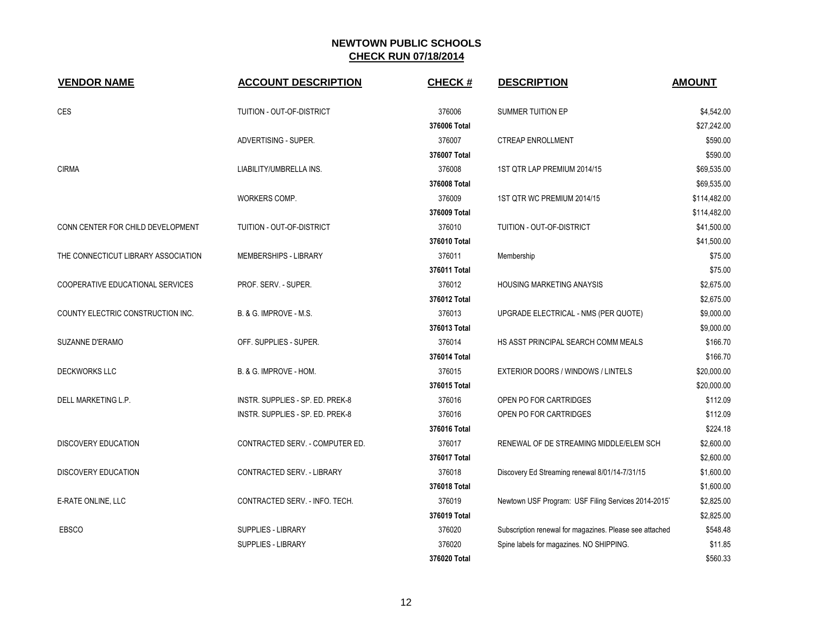| <b>VENDOR NAME</b>                  | <b>ACCOUNT DESCRIPTION</b>       | <b>CHECK#</b> | <b>DESCRIPTION</b>                                      | <b>AMOUNT</b> |
|-------------------------------------|----------------------------------|---------------|---------------------------------------------------------|---------------|
| CES                                 | TUITION - OUT-OF-DISTRICT        | 376006        | SUMMER TUITION EP                                       | \$4,542.00    |
|                                     |                                  | 376006 Total  |                                                         | \$27,242.00   |
|                                     | ADVERTISING - SUPER.             | 376007        | <b>CTREAP ENROLLMENT</b>                                | \$590.00      |
|                                     |                                  | 376007 Total  |                                                         | \$590.00      |
| <b>CIRMA</b>                        | LIABILITY/UMBRELLA INS.          | 376008        | 1ST QTR LAP PREMIUM 2014/15                             | \$69,535.00   |
|                                     |                                  | 376008 Total  |                                                         | \$69,535.00   |
|                                     | WORKERS COMP.                    | 376009        | 1ST QTR WC PREMIUM 2014/15                              | \$114,482.00  |
|                                     |                                  | 376009 Total  |                                                         | \$114,482.00  |
| CONN CENTER FOR CHILD DEVELOPMENT   | TUITION - OUT-OF-DISTRICT        | 376010        | TUITION - OUT-OF-DISTRICT                               | \$41,500.00   |
|                                     |                                  | 376010 Total  |                                                         | \$41,500.00   |
| THE CONNECTICUT LIBRARY ASSOCIATION | MEMBERSHIPS - LIBRARY            | 376011        | Membership                                              | \$75.00       |
|                                     |                                  | 376011 Total  |                                                         | \$75.00       |
| COOPERATIVE EDUCATIONAL SERVICES    | PROF. SERV. - SUPER.             | 376012        | <b>HOUSING MARKETING ANAYSIS</b>                        | \$2,675.00    |
|                                     |                                  | 376012 Total  |                                                         | \$2,675.00    |
| COUNTY ELECTRIC CONSTRUCTION INC.   | B. & G. IMPROVE - M.S.           | 376013        | UPGRADE ELECTRICAL - NMS (PER QUOTE)                    | \$9,000.00    |
|                                     |                                  | 376013 Total  |                                                         | \$9,000.00    |
| SUZANNE D'ERAMO                     | OFF. SUPPLIES - SUPER.           | 376014        | HS ASST PRINCIPAL SEARCH COMM MEALS                     | \$166.70      |
|                                     |                                  | 376014 Total  |                                                         | \$166.70      |
| <b>DECKWORKS LLC</b>                | B. & G. IMPROVE - HOM.           | 376015        | EXTERIOR DOORS / WINDOWS / LINTELS                      | \$20,000.00   |
|                                     |                                  | 376015 Total  |                                                         | \$20,000.00   |
| DELL MARKETING L.P.                 | INSTR. SUPPLIES - SP. ED. PREK-8 | 376016        | OPEN PO FOR CARTRIDGES                                  | \$112.09      |
|                                     | INSTR. SUPPLIES - SP. ED. PREK-8 | 376016        | OPEN PO FOR CARTRIDGES                                  | \$112.09      |
|                                     |                                  | 376016 Total  |                                                         | \$224.18      |
| <b>DISCOVERY EDUCATION</b>          | CONTRACTED SERV. - COMPUTER ED.  | 376017        | RENEWAL OF DE STREAMING MIDDLE/ELEM SCH                 | \$2,600.00    |
|                                     |                                  | 376017 Total  |                                                         | \$2,600.00    |
| DISCOVERY EDUCATION                 | CONTRACTED SERV. - LIBRARY       | 376018        | Discovery Ed Streaming renewal 8/01/14-7/31/15          | \$1,600.00    |
|                                     |                                  | 376018 Total  |                                                         | \$1,600.00    |
| E-RATE ONLINE, LLC                  | CONTRACTED SERV. - INFO. TECH.   | 376019        | Newtown USF Program: USF Filing Services 2014-2015      | \$2,825.00    |
|                                     |                                  | 376019 Total  |                                                         | \$2,825.00    |
| EBSCO                               | <b>SUPPLIES - LIBRARY</b>        | 376020        | Subscription renewal for magazines. Please see attached | \$548.48      |
|                                     | <b>SUPPLIES - LIBRARY</b>        | 376020        | Spine labels for magazines. NO SHIPPING.                | \$11.85       |
|                                     |                                  | 376020 Total  |                                                         | \$560.33      |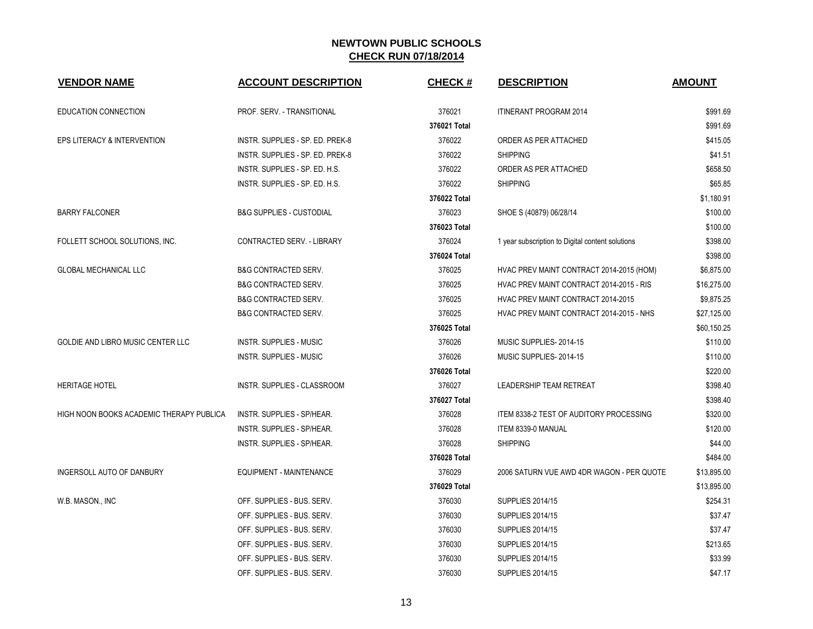| <b>VENDOR NAME</b>                       | <b>ACCOUNT DESCRIPTION</b>          | CHECK#       | <b>DESCRIPTION</b>                               | <b>AMOUNT</b> |
|------------------------------------------|-------------------------------------|--------------|--------------------------------------------------|---------------|
| EDUCATION CONNECTION                     | PROF. SERV. - TRANSITIONAL          | 376021       | <b>ITINERANT PROGRAM 2014</b>                    | \$991.69      |
|                                          |                                     | 376021 Total |                                                  | \$991.69      |
| EPS LITERACY & INTERVENTION              | INSTR. SUPPLIES - SP. ED. PREK-8    | 376022       | ORDER AS PER ATTACHED                            | \$415.05      |
|                                          | INSTR. SUPPLIES - SP. ED. PREK-8    | 376022       | <b>SHIPPING</b>                                  | \$41.51       |
|                                          | INSTR. SUPPLIES - SP. ED. H.S.      | 376022       | ORDER AS PER ATTACHED                            | \$658.50      |
|                                          | INSTR. SUPPLIES - SP. ED. H.S.      | 376022       | <b>SHIPPING</b>                                  | \$65.85       |
|                                          |                                     | 376022 Total |                                                  | \$1,180.91    |
| <b>BARRY FALCONER</b>                    | <b>B&amp;G SUPPLIES - CUSTODIAL</b> | 376023       | SHOE S (40879) 06/28/14                          | \$100.00      |
|                                          |                                     | 376023 Total |                                                  | \$100.00      |
| FOLLETT SCHOOL SOLUTIONS, INC.           | CONTRACTED SERV. - LIBRARY          | 376024       | 1 year subscription to Digital content solutions | \$398.00      |
|                                          |                                     | 376024 Total |                                                  | \$398.00      |
| <b>GLOBAL MECHANICAL LLC</b>             | <b>B&amp;G CONTRACTED SERV.</b>     | 376025       | HVAC PREV MAINT CONTRACT 2014-2015 (HOM)         | \$6,875.00    |
|                                          | <b>B&amp;G CONTRACTED SERV.</b>     | 376025       | HVAC PREV MAINT CONTRACT 2014-2015 - RIS         | \$16,275.00   |
|                                          | <b>B&amp;G CONTRACTED SERV.</b>     | 376025       | <b>HVAC PREV MAINT CONTRACT 2014-2015</b>        | \$9,875.25    |
|                                          | <b>B&amp;G CONTRACTED SERV.</b>     | 376025       | HVAC PREV MAINT CONTRACT 2014-2015 - NHS         | \$27,125.00   |
|                                          |                                     | 376025 Total |                                                  | \$60,150.25   |
| GOLDIE AND LIBRO MUSIC CENTER LLC        | <b>INSTR. SUPPLIES - MUSIC</b>      | 376026       | MUSIC SUPPLIES-2014-15                           | \$110.00      |
|                                          | <b>INSTR. SUPPLIES - MUSIC</b>      | 376026       | MUSIC SUPPLIES-2014-15                           | \$110.00      |
|                                          |                                     | 376026 Total |                                                  | \$220.00      |
| <b>HERITAGE HOTEL</b>                    | <b>INSTR. SUPPLIES - CLASSROOM</b>  | 376027       | LEADERSHIP TEAM RETREAT                          | \$398.40      |
|                                          |                                     | 376027 Total |                                                  | \$398.40      |
| HIGH NOON BOOKS ACADEMIC THERAPY PUBLICA | <b>INSTR. SUPPLIES - SP/HEAR.</b>   | 376028       | ITEM 8338-2 TEST OF AUDITORY PROCESSING          | \$320.00      |
|                                          | INSTR. SUPPLIES - SP/HEAR.          | 376028       | ITEM 8339-0 MANUAL                               | \$120.00      |
|                                          | INSTR. SUPPLIES - SP/HEAR.          | 376028       | <b>SHIPPING</b>                                  | \$44.00       |
|                                          |                                     | 376028 Total |                                                  | \$484.00      |
| INGERSOLL AUTO OF DANBURY                | EQUIPMENT - MAINTENANCE             | 376029       | 2006 SATURN VUE AWD 4DR WAGON - PER QUOTE        | \$13,895.00   |
|                                          |                                     | 376029 Total |                                                  | \$13,895.00   |
| W.B. MASON., INC                         | OFF. SUPPLIES - BUS. SERV.          | 376030       | <b>SUPPLIES 2014/15</b>                          | \$254.31      |
|                                          | OFF. SUPPLIES - BUS. SERV.          | 376030       | <b>SUPPLIES 2014/15</b>                          | \$37.47       |
|                                          | OFF. SUPPLIES - BUS. SERV.          | 376030       | <b>SUPPLIES 2014/15</b>                          | \$37.47       |
|                                          | OFF. SUPPLIES - BUS. SERV.          | 376030       | <b>SUPPLIES 2014/15</b>                          | \$213.65      |
|                                          | OFF. SUPPLIES - BUS. SERV.          | 376030       | <b>SUPPLIES 2014/15</b>                          | \$33.99       |
|                                          | OFF. SUPPLIES - BUS. SERV.          | 376030       | <b>SUPPLIES 2014/15</b>                          | \$47.17       |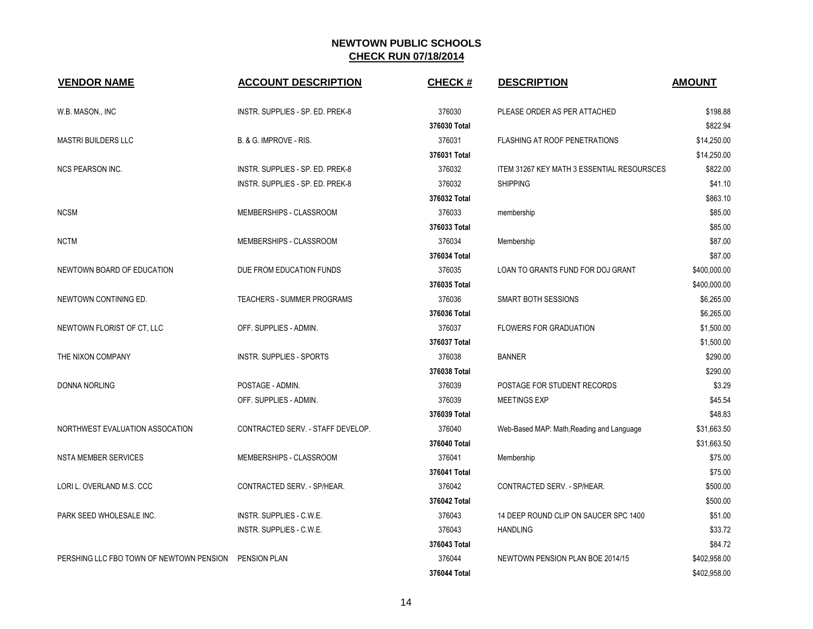| <b>VENDOR NAME</b>                       | <b>ACCOUNT DESCRIPTION</b>        | <b>CHECK#</b> | <b>DESCRIPTION</b>                         | <b>AMOUNT</b> |
|------------------------------------------|-----------------------------------|---------------|--------------------------------------------|---------------|
| W.B. MASON., INC                         | INSTR. SUPPLIES - SP. ED. PREK-8  | 376030        | PLEASE ORDER AS PER ATTACHED               | \$198.88      |
|                                          |                                   | 376030 Total  |                                            | \$822.94      |
| <b>MASTRI BUILDERS LLC</b>               | B. & G. IMPROVE - RIS.            | 376031        | <b>FLASHING AT ROOF PENETRATIONS</b>       | \$14,250.00   |
|                                          |                                   | 376031 Total  |                                            | \$14,250.00   |
| <b>NCS PEARSON INC.</b>                  | INSTR. SUPPLIES - SP. ED. PREK-8  | 376032        | ITEM 31267 KEY MATH 3 ESSENTIAL RESOURSCES | \$822.00      |
|                                          | INSTR. SUPPLIES - SP. ED. PREK-8  | 376032        | <b>SHIPPING</b>                            | \$41.10       |
|                                          |                                   | 376032 Total  |                                            | \$863.10      |
| <b>NCSM</b>                              | MEMBERSHIPS - CLASSROOM           | 376033        | membership                                 | \$85.00       |
|                                          |                                   | 376033 Total  |                                            | \$85.00       |
| <b>NCTM</b>                              | MEMBERSHIPS - CLASSROOM           | 376034        | Membership                                 | \$87.00       |
|                                          |                                   | 376034 Total  |                                            | \$87.00       |
| NEWTOWN BOARD OF EDUCATION               | DUE FROM EDUCATION FUNDS          | 376035        | LOAN TO GRANTS FUND FOR DOJ GRANT          | \$400,000.00  |
|                                          |                                   | 376035 Total  |                                            | \$400,000.00  |
| NEWTOWN CONTINING ED.                    | <b>TEACHERS - SUMMER PROGRAMS</b> | 376036        | <b>SMART BOTH SESSIONS</b>                 | \$6,265.00    |
|                                          |                                   | 376036 Total  |                                            | \$6,265.00    |
| NEWTOWN FLORIST OF CT, LLC               | OFF. SUPPLIES - ADMIN.            | 376037        | <b>FLOWERS FOR GRADUATION</b>              | \$1,500.00    |
|                                          |                                   | 376037 Total  |                                            | \$1,500.00    |
| THE NIXON COMPANY                        | <b>INSTR. SUPPLIES - SPORTS</b>   | 376038        | <b>BANNER</b>                              | \$290.00      |
|                                          |                                   | 376038 Total  |                                            | \$290.00      |
| <b>DONNA NORLING</b>                     | POSTAGE - ADMIN.                  | 376039        | POSTAGE FOR STUDENT RECORDS                | \$3.29        |
|                                          | OFF. SUPPLIES - ADMIN.            | 376039        | <b>MEETINGS EXP</b>                        | \$45.54       |
|                                          |                                   | 376039 Total  |                                            | \$48.83       |
| NORTHWEST EVALUATION ASSOCATION          | CONTRACTED SERV. - STAFF DEVELOP. | 376040        | Web-Based MAP: Math, Reading and Language  | \$31,663.50   |
|                                          |                                   | 376040 Total  |                                            | \$31,663.50   |
| <b>NSTA MEMBER SERVICES</b>              | MEMBERSHIPS - CLASSROOM           | 376041        | Membership                                 | \$75.00       |
|                                          |                                   | 376041 Total  |                                            | \$75.00       |
| LORI L. OVERLAND M.S. CCC                | CONTRACTED SERV. - SP/HEAR.       | 376042        | CONTRACTED SERV. - SP/HEAR.                | \$500.00      |
|                                          |                                   | 376042 Total  |                                            | \$500.00      |
| PARK SEED WHOLESALE INC.                 | INSTR. SUPPLIES - C.W.E.          | 376043        | 14 DEEP ROUND CLIP ON SAUCER SPC 1400      | \$51.00       |
|                                          | INSTR. SUPPLIES - C.W.E.          | 376043        | <b>HANDLING</b>                            | \$33.72       |
|                                          |                                   | 376043 Total  |                                            | \$84.72       |
| PERSHING LLC FBO TOWN OF NEWTOWN PENSION | PENSION PLAN                      | 376044        | NEWTOWN PENSION PLAN BOE 2014/15           | \$402,958.00  |
|                                          |                                   | 376044 Total  |                                            | \$402,958.00  |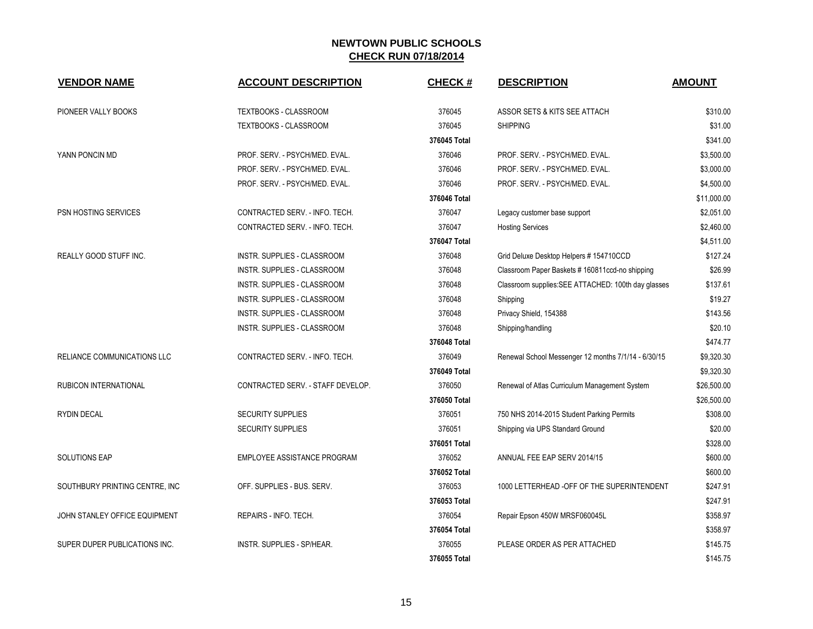| <b>VENDOR NAME</b>             | <b>ACCOUNT DESCRIPTION</b>         | <b>CHECK#</b> | <b>DESCRIPTION</b>                                  | <b>AMOUNT</b> |
|--------------------------------|------------------------------------|---------------|-----------------------------------------------------|---------------|
|                                |                                    |               |                                                     |               |
| PIONEER VALLY BOOKS            | TEXTBOOKS - CLASSROOM              | 376045        | ASSOR SETS & KITS SEE ATTACH                        | \$310.00      |
|                                | <b>TEXTBOOKS - CLASSROOM</b>       | 376045        | <b>SHIPPING</b>                                     | \$31.00       |
|                                |                                    | 376045 Total  |                                                     | \$341.00      |
| YANN PONCIN MD                 | PROF. SERV. - PSYCH/MED. EVAL.     | 376046        | PROF. SERV. - PSYCH/MED. EVAL.                      | \$3,500.00    |
|                                | PROF. SERV. - PSYCH/MED. EVAL.     | 376046        | PROF. SERV. - PSYCH/MED. EVAL.                      | \$3,000.00    |
|                                | PROF. SERV. - PSYCH/MED. EVAL.     | 376046        | PROF. SERV. - PSYCH/MED. EVAL.                      | \$4,500.00    |
|                                |                                    | 376046 Total  |                                                     | \$11,000.00   |
| PSN HOSTING SERVICES           | CONTRACTED SERV. - INFO. TECH.     | 376047        | Legacy customer base support                        | \$2,051.00    |
|                                | CONTRACTED SERV. - INFO. TECH.     | 376047        | <b>Hosting Services</b>                             | \$2,460.00    |
|                                |                                    | 376047 Total  |                                                     | \$4,511.00    |
| <b>REALLY GOOD STUFF INC.</b>  | <b>INSTR. SUPPLIES - CLASSROOM</b> | 376048        | Grid Deluxe Desktop Helpers # 154710CCD             | \$127.24      |
|                                | INSTR. SUPPLIES - CLASSROOM        | 376048        | Classroom Paper Baskets # 160811ccd-no shipping     | \$26.99       |
|                                | INSTR. SUPPLIES - CLASSROOM        | 376048        | Classroom supplies: SEE ATTACHED: 100th day glasses | \$137.61      |
|                                | INSTR. SUPPLIES - CLASSROOM        | 376048        | Shipping                                            | \$19.27       |
|                                | <b>INSTR. SUPPLIES - CLASSROOM</b> | 376048        | Privacy Shield, 154388                              | \$143.56      |
|                                | INSTR. SUPPLIES - CLASSROOM        | 376048        | Shipping/handling                                   | \$20.10       |
|                                |                                    | 376048 Total  |                                                     | \$474.77      |
| RELIANCE COMMUNICATIONS LLC    | CONTRACTED SERV. - INFO. TECH.     | 376049        | Renewal School Messenger 12 months 7/1/14 - 6/30/15 | \$9,320.30    |
|                                |                                    | 376049 Total  |                                                     | \$9,320.30    |
| <b>RUBICON INTERNATIONAL</b>   | CONTRACTED SERV. - STAFF DEVELOP.  | 376050        | Renewal of Atlas Curriculum Management System       | \$26,500.00   |
|                                |                                    | 376050 Total  |                                                     | \$26,500.00   |
| <b>RYDIN DECAL</b>             | <b>SECURITY SUPPLIES</b>           | 376051        | 750 NHS 2014-2015 Student Parking Permits           | \$308.00      |
|                                | <b>SECURITY SUPPLIES</b>           | 376051        | Shipping via UPS Standard Ground                    | \$20.00       |
|                                |                                    | 376051 Total  |                                                     | \$328.00      |
| <b>SOLUTIONS EAP</b>           | EMPLOYEE ASSISTANCE PROGRAM        | 376052        | ANNUAL FEE EAP SERV 2014/15                         | \$600.00      |
|                                |                                    | 376052 Total  |                                                     | \$600.00      |
| SOUTHBURY PRINTING CENTRE, INC | OFF. SUPPLIES - BUS. SERV.         | 376053        | 1000 LETTERHEAD - OFF OF THE SUPERINTENDENT         | \$247.91      |
|                                |                                    | 376053 Total  |                                                     | \$247.91      |
| JOHN STANLEY OFFICE EQUIPMENT  | REPAIRS - INFO. TECH.              | 376054        | Repair Epson 450W MRSF060045L                       | \$358.97      |
|                                |                                    | 376054 Total  |                                                     | \$358.97      |
| SUPER DUPER PUBLICATIONS INC.  | INSTR. SUPPLIES - SP/HEAR.         | 376055        | PLEASE ORDER AS PER ATTACHED                        | \$145.75      |
|                                |                                    | 376055 Total  |                                                     | \$145.75      |